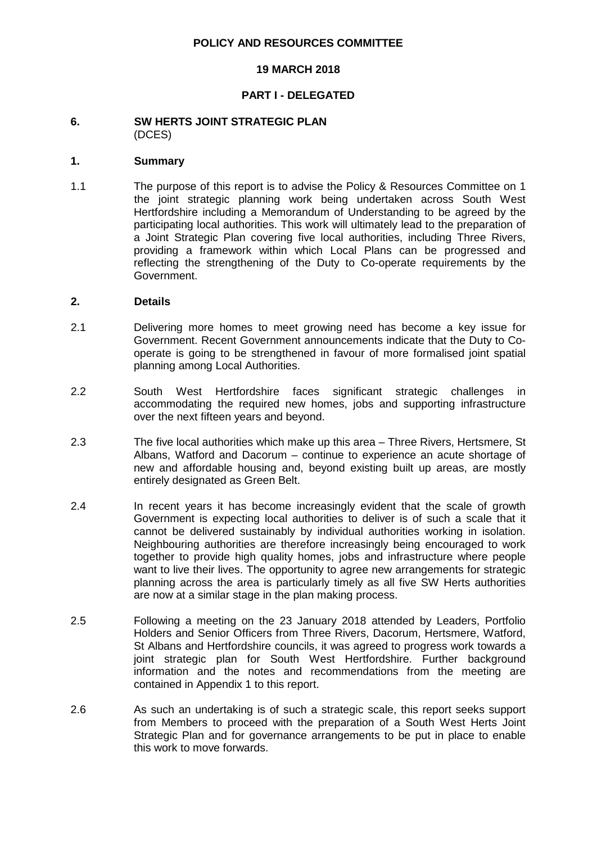#### **POLICY AND RESOURCES COMMITTEE**

#### **19 MARCH 2018**

## **PART I - DELEGATED**

#### **6. SW HERTS JOINT STRATEGIC PLAN** (DCES)

#### **1. Summary**

1.1 The purpose of this report is to advise the Policy & Resources Committee on 1 the joint strategic planning work being undertaken across South West Hertfordshire including a Memorandum of Understanding to be agreed by the participating local authorities. This work will ultimately lead to the preparation of a Joint Strategic Plan covering five local authorities, including Three Rivers, providing a framework within which Local Plans can be progressed and reflecting the strengthening of the Duty to Co-operate requirements by the Government.

#### **2. Details**

- 2.1 Delivering more homes to meet growing need has become a key issue for Government. Recent Government announcements indicate that the Duty to Cooperate is going to be strengthened in favour of more formalised joint spatial planning among Local Authorities.
- 2.2 South West Hertfordshire faces significant strategic challenges in accommodating the required new homes, jobs and supporting infrastructure over the next fifteen years and beyond.
- 2.3 The five local authorities which make up this area Three Rivers, Hertsmere, St Albans, Watford and Dacorum – continue to experience an acute shortage of new and affordable housing and, beyond existing built up areas, are mostly entirely designated as Green Belt.
- 2.4 In recent years it has become increasingly evident that the scale of growth Government is expecting local authorities to deliver is of such a scale that it cannot be delivered sustainably by individual authorities working in isolation. Neighbouring authorities are therefore increasingly being encouraged to work together to provide high quality homes, jobs and infrastructure where people want to live their lives. The opportunity to agree new arrangements for strategic planning across the area is particularly timely as all five SW Herts authorities are now at a similar stage in the plan making process.
- 2.5 Following a meeting on the 23 January 2018 attended by Leaders, Portfolio Holders and Senior Officers from Three Rivers, Dacorum, Hertsmere, Watford, St Albans and Hertfordshire councils, it was agreed to progress work towards a joint strategic plan for South West Hertfordshire. Further background information and the notes and recommendations from the meeting are contained in Appendix 1 to this report.
- 2.6 As such an undertaking is of such a strategic scale, this report seeks support from Members to proceed with the preparation of a South West Herts Joint Strategic Plan and for governance arrangements to be put in place to enable this work to move forwards.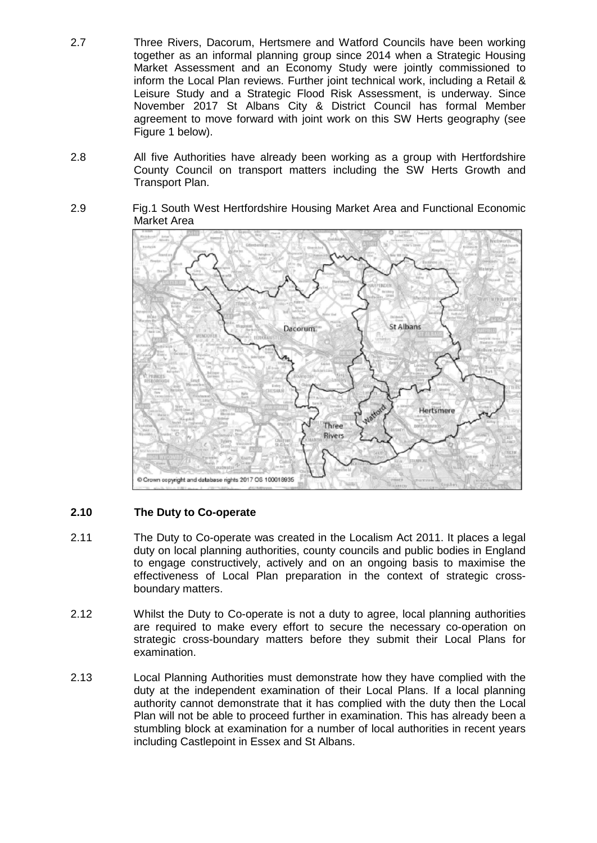- 2.7 Three Rivers, Dacorum, Hertsmere and Watford Councils have been working together as an informal planning group since 2014 when a Strategic Housing Market Assessment and an Economy Study were jointly commissioned to inform the Local Plan reviews. Further joint technical work, including a Retail & Leisure Study and a Strategic Flood Risk Assessment, is underway. Since November 2017 St Albans City & District Council has formal Member agreement to move forward with joint work on this SW Herts geography (see Figure 1 below).
- 2.8 All five Authorities have already been working as a group with Hertfordshire County Council on transport matters including the SW Herts Growth and Transport Plan.
- 2.9 Fig.1 South West Hertfordshire Housing Market Area and Functional Economic Market Area



## **2.10 The Duty to Co-operate**

- 2.11 The Duty to Co-operate was created in the Localism Act 2011. It places a legal duty on local planning authorities, county councils and public bodies in England to engage constructively, actively and on an ongoing basis to maximise the effectiveness of Local Plan preparation in the context of strategic crossboundary matters.
- 2.12 Whilst the Duty to Co-operate is not a duty to agree, local planning authorities are required to make every effort to secure the necessary co-operation on strategic cross-boundary matters before they submit their Local Plans for examination.
- 2.13 Local Planning Authorities must demonstrate how they have complied with the duty at the independent examination of their Local Plans. If a local planning authority cannot demonstrate that it has complied with the duty then the Local Plan will not be able to proceed further in examination. This has already been a stumbling block at examination for a number of local authorities in recent years including Castlepoint in Essex and St Albans.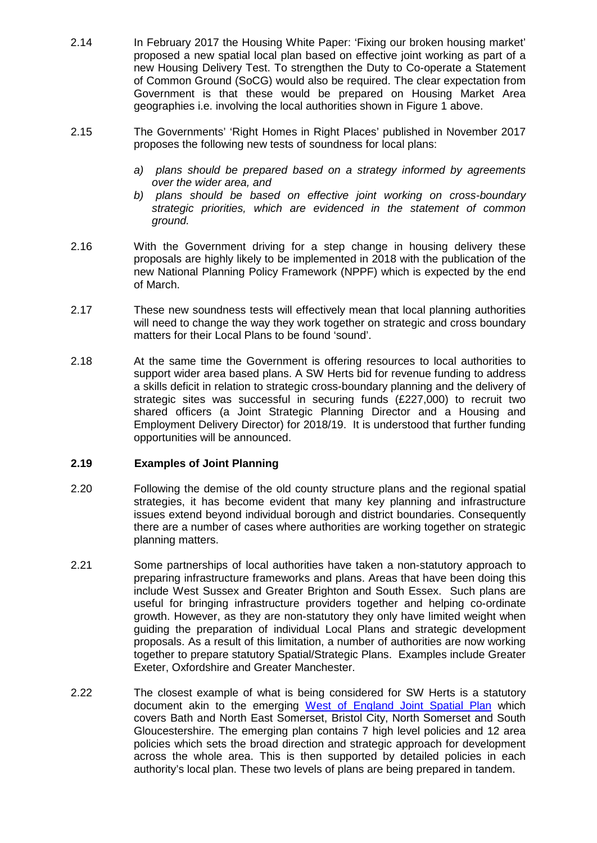- 2.14 In February 2017 the Housing White Paper: 'Fixing our broken housing market' proposed a new spatial local plan based on effective joint working as part of a new Housing Delivery Test. To strengthen the Duty to Co-operate a Statement of Common Ground (SoCG) would also be required. The clear expectation from Government is that these would be prepared on Housing Market Area geographies i.e. involving the local authorities shown in Figure 1 above.
- 2.15 The Governments' 'Right Homes in Right Places' published in November 2017 proposes the following new tests of soundness for local plans:
	- *a) plans should be prepared based on a strategy informed by agreements over the wider area, and*
	- *b) plans should be based on effective joint working on cross-boundary strategic priorities, which are evidenced in the statement of common ground.*
- 2.16 With the Government driving for a step change in housing delivery these proposals are highly likely to be implemented in 2018 with the publication of the new National Planning Policy Framework (NPPF) which is expected by the end of March.
- 2.17 These new soundness tests will effectively mean that local planning authorities will need to change the way they work together on strategic and cross boundary matters for their Local Plans to be found 'sound'.
- 2.18 At the same time the Government is offering resources to local authorities to support wider area based plans. A SW Herts bid for revenue funding to address a skills deficit in relation to strategic cross-boundary planning and the delivery of strategic sites was successful in securing funds (£227,000) to recruit two shared officers (a Joint Strategic Planning Director and a Housing and Employment Delivery Director) for 2018/19. It is understood that further funding opportunities will be announced.

## **2.19 Examples of Joint Planning**

- 2.20 Following the demise of the old county structure plans and the regional spatial strategies, it has become evident that many key planning and infrastructure issues extend beyond individual borough and district boundaries. Consequently there are a number of cases where authorities are working together on strategic planning matters.
- 2.21 Some partnerships of local authorities have taken a non-statutory approach to preparing infrastructure frameworks and plans. Areas that have been doing this include West Sussex and Greater Brighton and South Essex. Such plans are useful for bringing infrastructure providers together and helping co-ordinate growth. However, as they are non-statutory they only have limited weight when guiding the preparation of individual Local Plans and strategic development proposals. As a result of this limitation, a number of authorities are now working together to prepare statutory Spatial/Strategic Plans. Examples include Greater Exeter, Oxfordshire and Greater Manchester.
- 2.22 The closest example of what is being considered for SW Herts is a statutory document akin to the emerging [West of England Joint Spatial Plan](https://www.jointplanningwofe.org.uk/consult.ti/JSPPublication/viewCompoundDoc?docid=9163508&sessionid=&voteid=) which covers Bath and North East Somerset, Bristol City, North Somerset and South Gloucestershire. The emerging plan contains 7 high level policies and 12 area policies which sets the broad direction and strategic approach for development across the whole area. This is then supported by detailed policies in each authority's local plan. These two levels of plans are being prepared in tandem.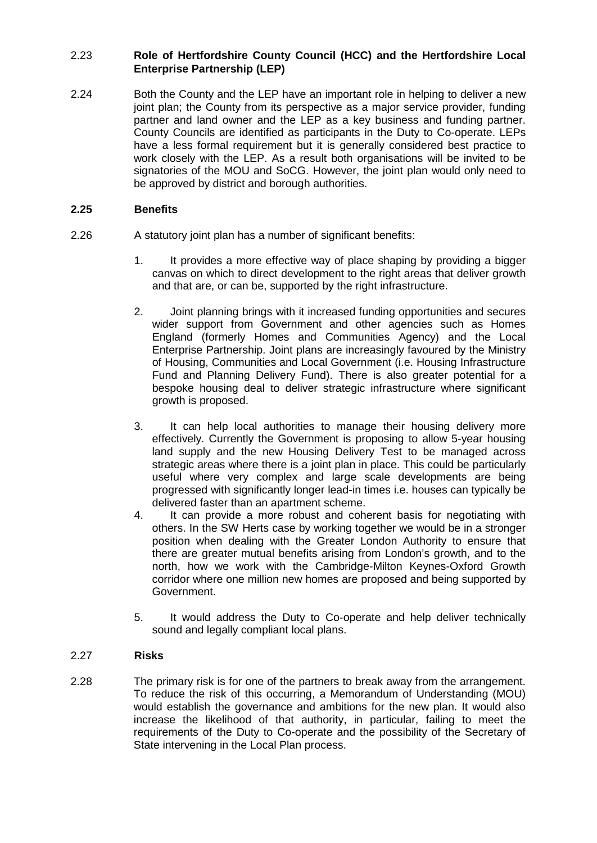# 2.23 **Role of Hertfordshire County Council (HCC) and the Hertfordshire Local Enterprise Partnership (LEP)**

2.24 Both the County and the LEP have an important role in helping to deliver a new joint plan; the County from its perspective as a major service provider, funding partner and land owner and the LEP as a key business and funding partner. County Councils are identified as participants in the Duty to Co-operate. LEPs have a less formal requirement but it is generally considered best practice to work closely with the LEP. As a result both organisations will be invited to be signatories of the MOU and SoCG. However, the joint plan would only need to be approved by district and borough authorities.

# **2.25 Benefits**

- 2.26 A statutory joint plan has a number of significant benefits:
	- 1. It provides a more effective way of place shaping by providing a bigger canvas on which to direct development to the right areas that deliver growth and that are, or can be, supported by the right infrastructure.
	- 2. Joint planning brings with it increased funding opportunities and secures wider support from Government and other agencies such as Homes England (formerly Homes and Communities Agency) and the Local Enterprise Partnership. Joint plans are increasingly favoured by the Ministry of Housing, Communities and Local Government (i.e. Housing Infrastructure Fund and Planning Delivery Fund). There is also greater potential for a bespoke housing deal to deliver strategic infrastructure where significant growth is proposed.
	- 3. It can help local authorities to manage their housing delivery more effectively. Currently the Government is proposing to allow 5-year housing land supply and the new Housing Delivery Test to be managed across strategic areas where there is a joint plan in place. This could be particularly useful where very complex and large scale developments are being progressed with significantly longer lead-in times i.e. houses can typically be delivered faster than an apartment scheme.
	- 4. It can provide a more robust and coherent basis for negotiating with others. In the SW Herts case by working together we would be in a stronger position when dealing with the Greater London Authority to ensure that there are greater mutual benefits arising from London's growth, and to the north, how we work with the Cambridge-Milton Keynes-Oxford Growth corridor where one million new homes are proposed and being supported by Government.
	- 5. It would address the Duty to Co-operate and help deliver technically sound and legally compliant local plans.

# 2.27 **Risks**

2.28 The primary risk is for one of the partners to break away from the arrangement. To reduce the risk of this occurring, a Memorandum of Understanding (MOU) would establish the governance and ambitions for the new plan. It would also increase the likelihood of that authority, in particular, failing to meet the requirements of the Duty to Co-operate and the possibility of the Secretary of State intervening in the Local Plan process.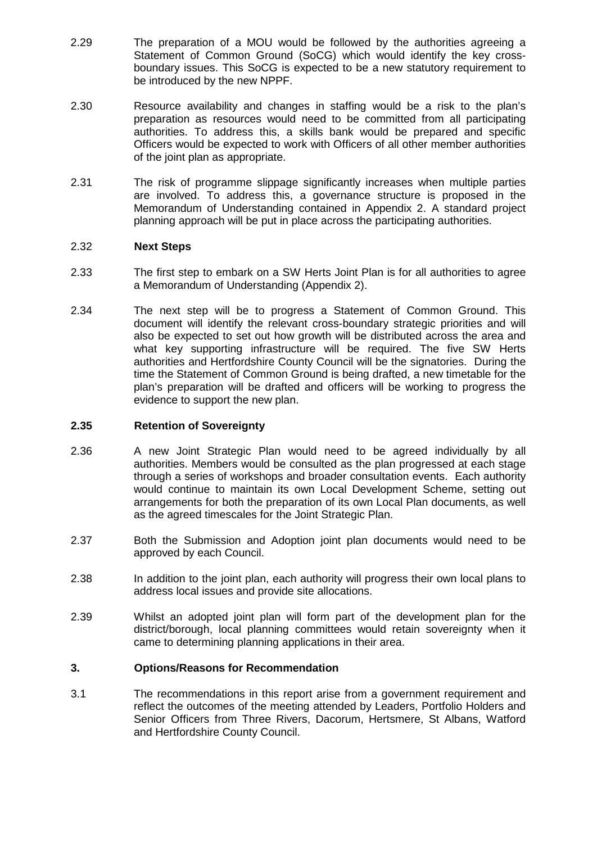- 2.29 The preparation of a MOU would be followed by the authorities agreeing a Statement of Common Ground (SoCG) which would identify the key crossboundary issues. This SoCG is expected to be a new statutory requirement to be introduced by the new NPPF.
- 2.30 Resource availability and changes in staffing would be a risk to the plan's preparation as resources would need to be committed from all participating authorities. To address this, a skills bank would be prepared and specific Officers would be expected to work with Officers of all other member authorities of the joint plan as appropriate.
- 2.31 The risk of programme slippage significantly increases when multiple parties are involved. To address this, a governance structure is proposed in the Memorandum of Understanding contained in Appendix 2. A standard project planning approach will be put in place across the participating authorities.

## 2.32 **Next Steps**

- 2.33 The first step to embark on a SW Herts Joint Plan is for all authorities to agree a Memorandum of Understanding (Appendix 2).
- 2.34 The next step will be to progress a Statement of Common Ground. This document will identify the relevant cross-boundary strategic priorities and will also be expected to set out how growth will be distributed across the area and what key supporting infrastructure will be required. The five SW Herts authorities and Hertfordshire County Council will be the signatories. During the time the Statement of Common Ground is being drafted, a new timetable for the plan's preparation will be drafted and officers will be working to progress the evidence to support the new plan.

#### **2.35 Retention of Sovereignty**

- 2.36 A new Joint Strategic Plan would need to be agreed individually by all authorities. Members would be consulted as the plan progressed at each stage through a series of workshops and broader consultation events. Each authority would continue to maintain its own Local Development Scheme, setting out arrangements for both the preparation of its own Local Plan documents, as well as the agreed timescales for the Joint Strategic Plan.
- 2.37 Both the Submission and Adoption joint plan documents would need to be approved by each Council.
- 2.38 In addition to the joint plan, each authority will progress their own local plans to address local issues and provide site allocations.
- 2.39 Whilst an adopted joint plan will form part of the development plan for the district/borough, local planning committees would retain sovereignty when it came to determining planning applications in their area.

#### **3. Options/Reasons for Recommendation**

3.1 The recommendations in this report arise from a government requirement and reflect the outcomes of the meeting attended by Leaders, Portfolio Holders and Senior Officers from Three Rivers, Dacorum, Hertsmere, St Albans, Watford and Hertfordshire County Council.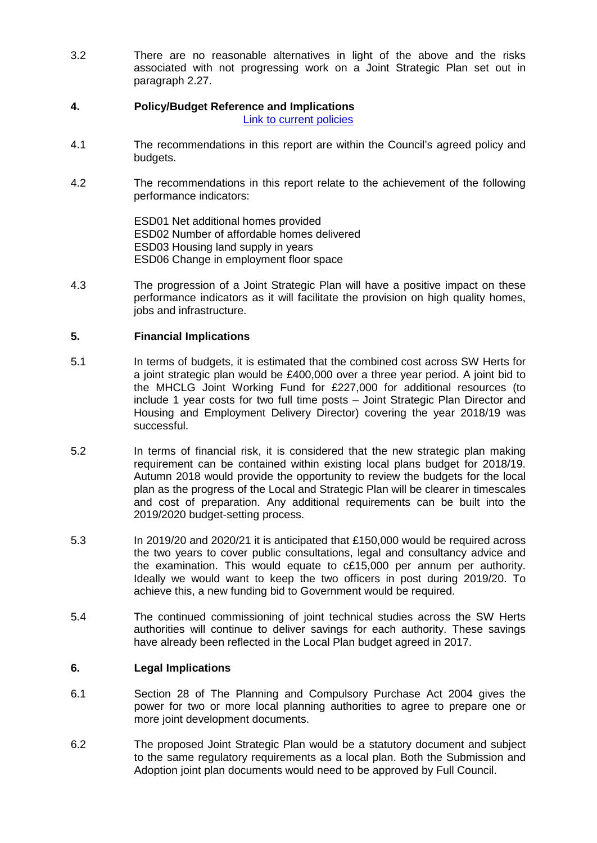3.2 There are no reasonable alternatives in light of the above and the risks associated with not progressing work on a Joint Strategic Plan set out in paragraph 2.27.

# **4. Policy/Budget Reference and Implications**

- [Link to current policies](http://intranet.threerivers.gov.uk/Default.aspx/Web/PoliciesAndProceduresCategoryListingPage)
- 4.1 The recommendations in this report are within the Council's agreed policy and budgets.
- 4.2 The recommendations in this report relate to the achievement of the following performance indicators:

ESD01 Net additional homes provided ESD02 Number of affordable homes delivered ESD03 Housing land supply in years ESD06 Change in employment floor space

4.3 The progression of a Joint Strategic Plan will have a positive impact on these performance indicators as it will facilitate the provision on high quality homes, jobs and infrastructure.

# **5. Financial Implications**

- 5.1 In terms of budgets, it is estimated that the combined cost across SW Herts for a joint strategic plan would be £400,000 over a three year period. A joint bid to the MHCLG Joint Working Fund for £227,000 for additional resources (to include 1 year costs for two full time posts – Joint Strategic Plan Director and Housing and Employment Delivery Director) covering the year 2018/19 was successful.
- 5.2 In terms of financial risk, it is considered that the new strategic plan making requirement can be contained within existing local plans budget for 2018/19. Autumn 2018 would provide the opportunity to review the budgets for the local plan as the progress of the Local and Strategic Plan will be clearer in timescales and cost of preparation. Any additional requirements can be built into the 2019/2020 budget-setting process.
- 5.3 In 2019/20 and 2020/21 it is anticipated that £150,000 would be required across the two years to cover public consultations, legal and consultancy advice and the examination. This would equate to c£15,000 per annum per authority. Ideally we would want to keep the two officers in post during 2019/20. To achieve this, a new funding bid to Government would be required.
- 5.4 The continued commissioning of joint technical studies across the SW Herts authorities will continue to deliver savings for each authority. These savings have already been reflected in the Local Plan budget agreed in 2017.

## **6. Legal Implications**

- 6.1 Section 28 of The Planning and Compulsory Purchase Act 2004 gives the power for two or more local planning authorities to agree to prepare one or more joint development documents.
- 6.2 The proposed Joint Strategic Plan would be a statutory document and subject to the same regulatory requirements as a local plan. Both the Submission and Adoption joint plan documents would need to be approved by Full Council.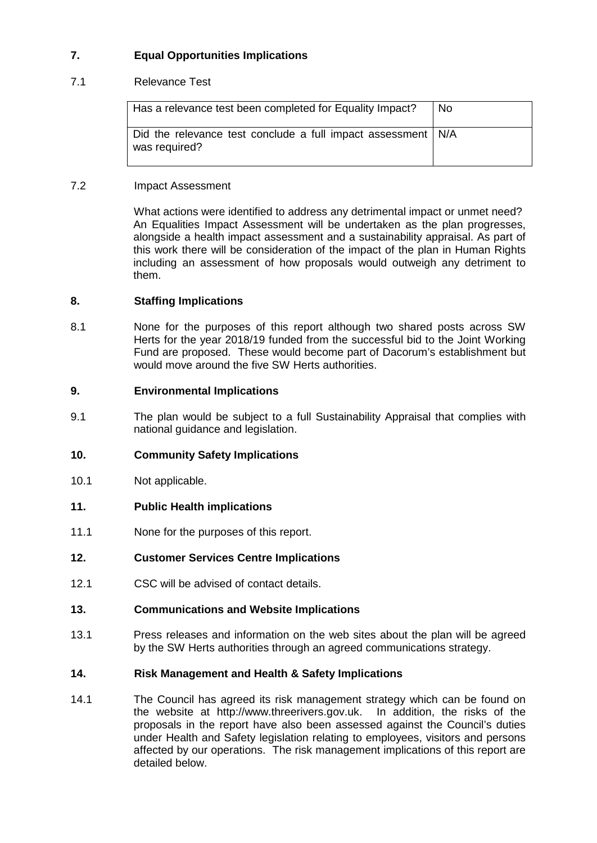# **7. Equal Opportunities Implications**

# 7.1 Relevance Test

| Has a relevance test been completed for Equality Impact?                        | No. |
|---------------------------------------------------------------------------------|-----|
| Did the relevance test conclude a full impact assessment   N/A<br>was required? |     |

# 7.2 Impact Assessment

What actions were identified to address any detrimental impact or unmet need? An Equalities Impact Assessment will be undertaken as the plan progresses, alongside a health impact assessment and a sustainability appraisal. As part of this work there will be consideration of the impact of the plan in Human Rights including an assessment of how proposals would outweigh any detriment to them.

## **8. Staffing Implications**

8.1 None for the purposes of this report although two shared posts across SW Herts for the year 2018/19 funded from the successful bid to the Joint Working Fund are proposed. These would become part of Dacorum's establishment but would move around the five SW Herts authorities.

## **9. Environmental Implications**

9.1 The plan would be subject to a full Sustainability Appraisal that complies with national guidance and legislation.

## **10. Community Safety Implications**

- 10.1 Not applicable.
- **11. Public Health implications**
- 11.1 None for the purposes of this report.

## **12. Customer Services Centre Implications**

12.1 CSC will be advised of contact details.

## **13. Communications and Website Implications**

13.1 Press releases and information on the web sites about the plan will be agreed by the SW Herts authorities through an agreed communications strategy.

## **14. Risk Management and Health & Safety Implications**

14.1 The Council has agreed its risk management strategy which can be found on the website at http://www.threerivers.gov.uk. In addition, the risks of the proposals in the report have also been assessed against the Council's duties under Health and Safety legislation relating to employees, visitors and persons affected by our operations. The risk management implications of this report are detailed below.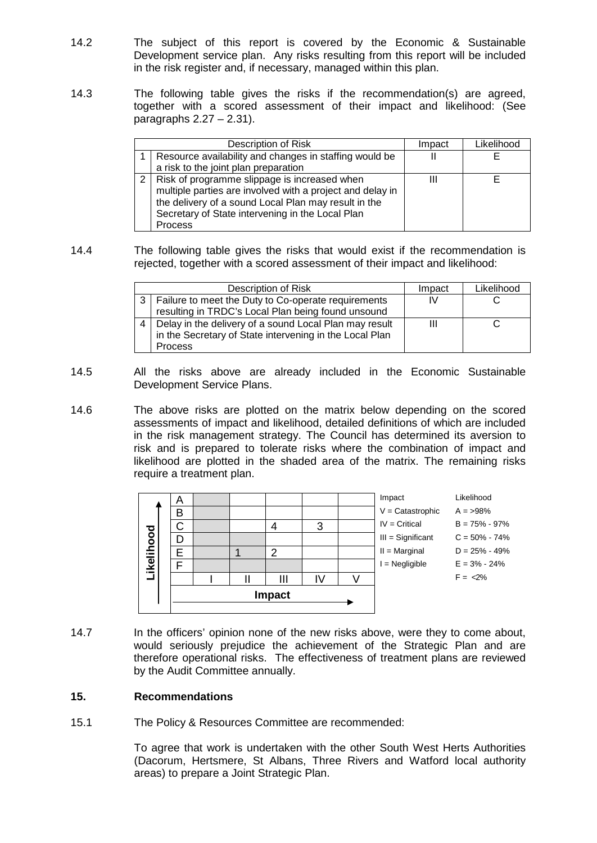- 14.2 The subject of this report is covered by the Economic & Sustainable Development service plan. Any risks resulting from this report will be included in the risk register and, if necessary, managed within this plan.
- 14.3 The following table gives the risks if the recommendation(s) are agreed, together with a scored assessment of their impact and likelihood: (See paragraphs  $2.27 - 2.31$ ).

| Description of Risk                                                                                                                                                                                                                         | Impact | Likelihood |
|---------------------------------------------------------------------------------------------------------------------------------------------------------------------------------------------------------------------------------------------|--------|------------|
| Resource availability and changes in staffing would be                                                                                                                                                                                      |        |            |
| a risk to the joint plan preparation                                                                                                                                                                                                        |        |            |
| 2   Risk of programme slippage is increased when<br>multiple parties are involved with a project and delay in<br>the delivery of a sound Local Plan may result in the<br>Secretary of State intervening in the Local Plan<br><b>Process</b> | Ш      |            |

14.4 The following table gives the risks that would exist if the recommendation is rejected, together with a scored assessment of their impact and likelihood:

|                | Description of Risk                                     | Impact | Likelihood |
|----------------|---------------------------------------------------------|--------|------------|
| 3              | Failure to meet the Duty to Co-operate requirements     | IV     |            |
|                | resulting in TRDC's Local Plan being found unsound      |        |            |
| $\overline{4}$ | Delay in the delivery of a sound Local Plan may result  |        |            |
|                | in the Secretary of State intervening in the Local Plan |        |            |
|                | <b>Process</b>                                          |        |            |

- 14.5 All the risks above are already included in the Economic Sustainable Development Service Plans.
- 14.6 The above risks are plotted on the matrix below depending on the scored assessments of impact and likelihood, detailed definitions of which are included in the risk management strategy. The Council has determined its aversion to risk and is prepared to tolerate risks where the combination of impact and likelihood are plotted in the shaded area of the matrix. The remaining risks require a treatment plan.



14.7 In the officers' opinion none of the new risks above, were they to come about, would seriously prejudice the achievement of the Strategic Plan and are therefore operational risks. The effectiveness of treatment plans are reviewed by the Audit Committee annually.

# **15. Recommendations**

15.1 The Policy & Resources Committee are recommended:

To agree that work is undertaken with the other South West Herts Authorities (Dacorum, Hertsmere, St Albans, Three Rivers and Watford local authority areas) to prepare a Joint Strategic Plan.